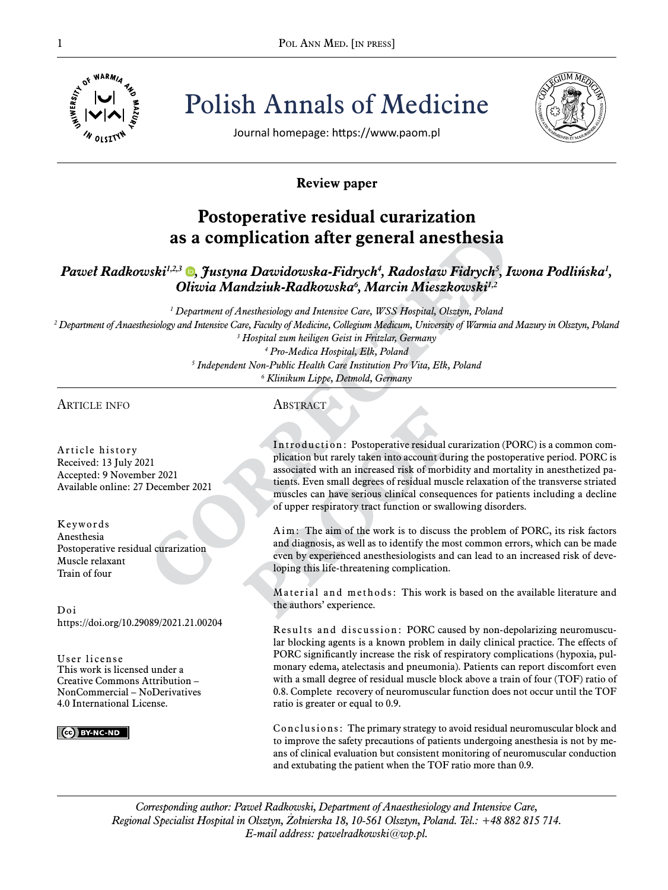

Pol ANN MED. [IN PRESS]<br>  $\frac{1}{\frac{1}{2}}$  o<sup>f WARM/4</sup>  $\frac{1}{2}$ <br>  $\frac{1}{2}$   $\frac{1}{2}$   $\frac{1}{2}$   $\frac{1}{2}$   $\frac{1}{2}$   $\frac{1}{2}$   $\frac{1}{2}$   $\frac{1}{2}$   $\frac{1}{2}$   $\frac{1}{2}$   $\frac{1}{2}$   $\frac{1}{2}$   $\frac{1}{2}$   $\frac{1}{2}$   $\frac{1}{2}$   $\frac{1}{2}$ Polish Annals of Medicine



Journal homepage: https://www.paom.pl

# **Review paper**

# **Postoperative residual curarization as a complication after general anesthesia**

# *Paweł Radkowski1,2,3 [,](https://orcid.org/0000-0002-9437-9458) Justyna Dawidowska-Fidrych<sup>4</sup> , Radosław Fidrych<sup>5</sup> , Iwona Podlińska<sup>1</sup> , Oliwia Mandziuk-Radkowska<sup>6</sup> , Marcin Mieszkowski1,2*

  *Department of Anesthesiology and Intensive Care, WSS Hospital, Olsztyn, Poland Department of Anaesthesiology and Intensive Care, Faculty of Medicine, Collegium Medicum, University of Warmia and Mazury in Olsztyn, Poland Hospital zum heiligen Geist in Fritzlar, Germany Pro-Medica Hospital, Ełk, Poland*

*5 Independent Non-Public Health Care Institution Pro Vita, Ełk, Poland*

*6 Klinikum Lippe, Detmold, Germany*

## article info

Article history Received: 13 July 2021 Accepted: 9 November 2021 Available online: 27 December 2021

Keywords Anesthesia Postoperative residual curarization Muscle relaxant Train of four

Doi https://doi.org/10.29089/2021.21.00204

User license This work is licensed under a Creative Commons Attribution – NonCommercial – NoDerivatives 4.0 International License.



**ABSTRACT** 

Introduction: Postoperative residual curarization (PORC) is a common complication but rarely taken into account during the postoperative period. PORC is associated with an increased risk of morbidity and mortality in anesthetized patients. Even small degrees of residual muscle relaxation of the transverse striated muscles can have serious clinical consequences for patients including a decline of upper respiratory tract function or swallowing disorders.

Aim: The aim of the work is to discuss the problem of PORC, its risk factors and diagnosis, as well as to identify the most common errors, which can be made even by experienced anesthesiologists and can lead to an increased risk of developing this life-threatening complication.

Material and methods: This work is based on the available literature and the authors' experience.

Results and discussion: PORC caused by non-depolarizing neuromuscular blocking agents is a known problem in daily clinical practice. The effects of PORC significantly increase the risk of respiratory complications (hypoxia, pulmonary edema, atelectasis and pneumonia). Patients can report discomfort even with a small degree of residual muscle block above a train of four (TOF) ratio of 0.8. Complete recovery of neuromuscular function does not occur until the TOF ratio is greater or equal to 0.9.

Conclusions: The primary strategy to avoid residual neuromuscular block and to improve the safety precautions of patients undergoing anesthesia is not by means of clinical evaluation but consistent monitoring of neuromuscular conduction and extubating the patient when the TOF ratio more than 0.9.

*Corresponding author: Paweł Radkowski, Department of Anaesthesiology and Intensive Care, Regional Specialist Hospital in Olsztyn, Żołnierska 18, 10-561 Olsztyn, Poland. Tel.: +48 882 815 714. E-mail address: pawelradkowski@wp.pl.*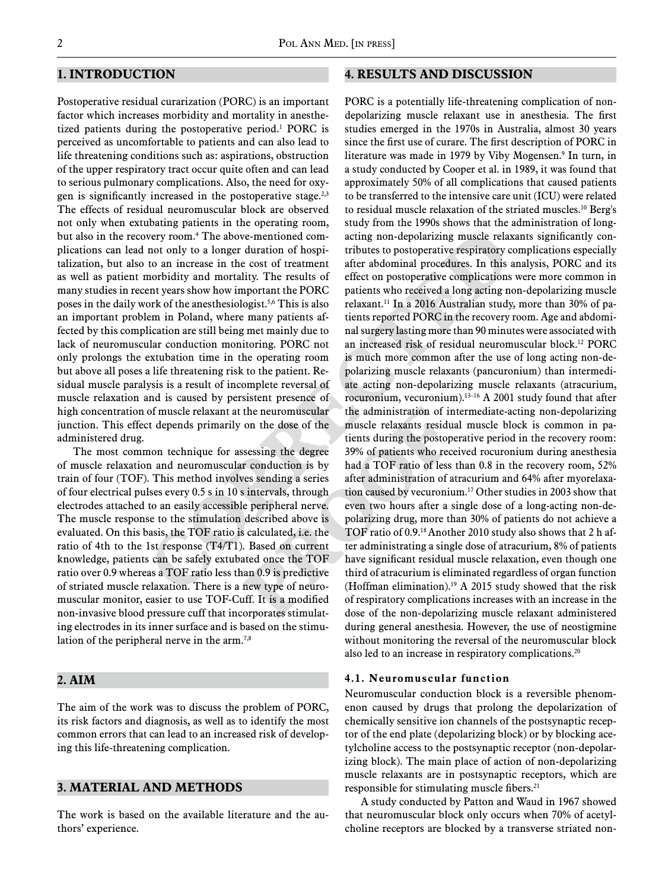## **1. Introduction**

Postoperative residual curarization (PORC) is an important factor which increases morbidity and mortality in anesthetized patients during the postoperative period.<sup>1</sup> PORC is perceived as uncomfortable to patients and can also lead to life threatening conditions such as: aspirations, obstruction of the upper respiratory tract occur quite often and can lead to serious pulmonary complications. Also, the need for oxygen is significantly increased in the postoperative stage.<sup>2,3</sup> The effects of residual neuromuscular block are observed not only when extubating patients in the operating room, but also in the recovery room.4 The above-mentioned complications can lead not only to a longer duration of hospitalization, but also to an increase in the cost of treatment as well as patient morbidity and mortality. The results of many studies in recent years show how important the PORC poses in the daily work of the anesthesiologist.5,6 This is also an important problem in Poland, where many patients affected by this complication are still being met mainly due to lack of neuromuscular conduction monitoring. PORC not only prolongs the extubation time in the operating room but above all poses a life threatening risk to the patient. Residual muscle paralysis is a result of incomplete reversal of muscle relaxation and is caused by persistent presence of high concentration of muscle relaxant at the neuromuscular junction. This effect depends primarily on the dose of the administered drug.

The most common technique for assessing the degree of muscle relaxation and neuromuscular conduction is by train of four (TOF). This method involves sending a series of four electrical pulses every 0.5 s in 10 s intervals, through electrodes attached to an easily accessible peripheral nerve. The muscle response to the stimulation described above is evaluated. On this basis, the TOF ratio is calculated, i.e. the ratio of 4th to the 1st response (T4/T1). Based on current knowledge, patients can be safely extubated once the TOF ratio over 0.9 whereas a TOF ratio less than 0.9 is predictive of striated muscle relaxation. There is a new type of neuromuscular monitor, easier to use TOF-Cuff. It is a modified non-invasive blood pressure cuff that incorporates stimulating electrodes in its inner surface and is based on the stimulation of the peripheral nerve in the arm.<sup>7,8</sup>

#### **2. Aim**

The aim of the work was to discuss the problem of PORC, its risk factors and diagnosis, as well as to identify the most common errors that can lead to an increased risk of developing this life-threatening complication.

### **3. Material and Methods**

The work is based on the available literature and the authors' experience.

### **4. Results AND DISCUSSION**

PORC is a potentially life-threatening complication of nondepolarizing muscle relaxant use in anesthesia. The first studies emerged in the 1970s in Australia, almost 30 years since the first use of curare. The first description of PORC in literature was made in 1979 by Viby Mogensen.9 In turn, in a study conducted by Cooper et al. in 1989, it was found that approximately 50% of all complications that caused patients to be transferred to the intensive care unit (ICU) were related to residual muscle relaxation of the striated muscles.10 Berg's study from the 1990s shows that the administration of longacting non-depolarizing muscle relaxants significantly contributes to postoperative respiratory complications especially after abdominal procedures. In this analysis, PORC and its effect on postoperative complications were more common in patients who received a long acting non-depolarizing muscle relaxant.11 In a 2016 Australian study, more than 30% of patients reported PORC in the recovery room. Age and abdominal surgery lasting more than 90 minutes were associated with an increased risk of residual neuromuscular block.12 PORC is much more common after the use of long acting non-depolarizing muscle relaxants (pancuronium) than intermediate acting non-depolarizing muscle relaxants (atracurium, rocuronium, vecuronium).13–16 A 2001 study found that after the administration of intermediate-acting non-depolarizing muscle relaxants residual muscle block is common in patients during the postoperative period in the recovery room: 39% of patients who received rocuronium during anesthesia had a TOF ratio of less than 0.8 in the recovery room, 52% after administration of atracurium and 64% after myorelaxation caused by vecuronium.17 Other studies in 2003 show that even two hours after a single dose of a long-acting non-depolarizing drug, more than 30% of patients do not achieve a TOF ratio of 0.9.18 Another 2010 study also shows that 2 h after administrating a single dose of atracurium, 8% of patients have significant residual muscle relaxation, even though one third of atracurium is eliminated regardless of organ function (Hoffman elimination).19 A 2015 study showed that the risk of respiratory complications increases with an increase in the dose of the non-depolarizing muscle relaxant administered during general anesthesia. However, the use of neostigmine without monitoring the reversal of the neuromuscular block also led to an increase in respiratory complications.20

#### **4.1. Neuromuscular function**

Neuromuscular conduction block is a reversible phenomenon caused by drugs that prolong the depolarization of chemically sensitive ion channels of the postsynaptic receptor of the end plate (depolarizing block) or by blocking acetylcholine access to the postsynaptic receptor (non-depolarizing block). The main place of action of non-depolarizing muscle relaxants are in postsynaptic receptors, which are responsible for stimulating muscle fibers.<sup>21</sup>

A study conducted by Patton and Waud in 1967 showed that neuromuscular block only occurs when 70% of acetylcholine receptors are blocked by a transverse striated non-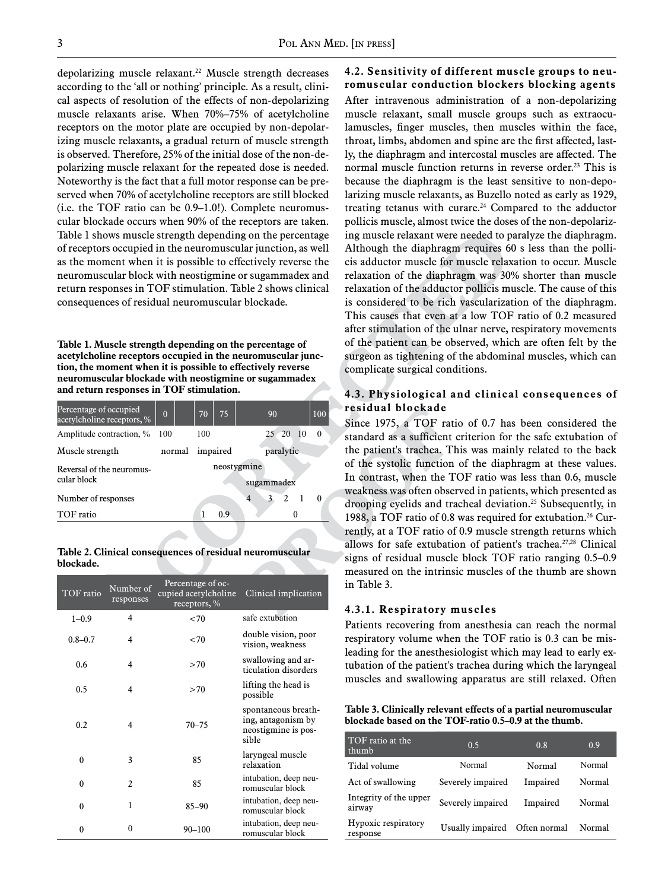depolarizing muscle relaxant.<sup>22</sup> Muscle strength decreases according to the 'all or nothing' principle. As a result, clinical aspects of resolution of the effects of non-depolarizing muscle relaxants arise. When 70%–75% of acetylcholine receptors on the motor plate are occupied by non-depolarizing muscle relaxants, a gradual return of muscle strength is observed. Therefore, 25% of the initial dose of the non-depolarizing muscle relaxant for the repeated dose is needed. Noteworthy is the fact that a full motor response can be preserved when 70% of acetylcholine receptors are still blocked (i.e. the TOF ratio can be 0.9–1.0!). Complete neuromuscular blockade occurs when 90% of the receptors are taken. Table 1 shows muscle strength depending on the percentage of receptors occupied in the neuromuscular junction, as well as the moment when it is possible to effectively reverse the neuromuscular block with neostigmine or sugammadex and return responses in TOF stimulation. Table 2 shows clinical consequences of residual neuromuscular blockade.

**Table 1. Muscle strength depending on the percentage of acetylcholine receptors occupied in the neuromuscular junction, the moment when it is possible to effectively reverse neuromuscular blockade with neostigmine or sugammadex and return responses in TOF stimulation.**

| $\theta$                  | 75<br>70 | 90        | 100      |  |
|---------------------------|----------|-----------|----------|--|
| 100                       | 100      | 25 20 10  | 0        |  |
| normal                    |          | paralytic |          |  |
| neostygmine<br>sugammadex |          |           |          |  |
|                           |          | 3<br>2    | 0        |  |
|                           | በ ዓ      |           |          |  |
|                           |          |           | impaired |  |

**Table 2. Clinical consequences of residual neuromuscular blockade.**

| TOF ratio   | Number of<br>responses   | Percentage of oc-<br>cupied acetylcholine<br>receptors, % | Clinical implication                                                      |
|-------------|--------------------------|-----------------------------------------------------------|---------------------------------------------------------------------------|
| $1 - 0.9$   | 4                        | < 70                                                      | safe extubation                                                           |
| $0.8 - 0.7$ | 4                        | < 70                                                      | double vision, poor<br>vision, weakness                                   |
| 0.6         | 4                        | >70                                                       | swallowing and ar-<br>ticulation disorders                                |
| 0.5         | 4                        | >70                                                       | lifting the head is<br>possible                                           |
| 0.2         | 4                        | $70 - 75$                                                 | spontaneous breath-<br>ing, antagonism by<br>neostigmine is pos-<br>sible |
| 0           | 3                        | 85                                                        | laryngeal muscle<br>relaxation                                            |
| $\theta$    | $\overline{\mathcal{L}}$ | 85                                                        | intubation, deep neu-<br>romuscular block                                 |
| 0           | 1                        | $85 - 90$                                                 | intubation, deep neu-<br>romuscular block                                 |
| 0           | $\theta$                 | $90 - 100$                                                | intubation, deep neu-<br>romuscular block                                 |

### **4.2. Sensitivity of different muscle groups to neuromuscular conduction blockers blocking agents**

After intravenous administration of a non-depolarizing muscle relaxant, small muscle groups such as extraoculamuscles, finger muscles, then muscles within the face, throat, limbs, abdomen and spine are the first affected, lastly, the diaphragm and intercostal muscles are affected. The normal muscle function returns in reverse order.<sup>23</sup> This is because the diaphragm is the least sensitive to non-depolarizing muscle relaxants, as Buzello noted as early as 1929, treating tetanus with curare.<sup>24</sup> Compared to the adductor pollicis muscle, almost twice the doses of the non-depolarizing muscle relaxant were needed to paralyze the diaphragm. Although the diaphragm requires 60 s less than the pollicis adductor muscle for muscle relaxation to occur. Muscle relaxation of the diaphragm was 30% shorter than muscle relaxation of the adductor pollicis muscle. The cause of this is considered to be rich vascularization of the diaphragm. This causes that even at a low TOF ratio of 0.2 measured after stimulation of the ulnar nerve, respiratory movements of the patient can be observed, which are often felt by the surgeon as tightening of the abdominal muscles, which can complicate surgical conditions.

#### **4.3. Physiological and clinical consequences of residual blockade**

Since 1975, a TOF ratio of 0.7 has been considered the standard as a sufficient criterion for the safe extubation of the patient's trachea. This was mainly related to the back of the systolic function of the diaphragm at these values. In contrast, when the TOF ratio was less than 0.6, muscle weakness was often observed in patients, which presented as drooping eyelids and tracheal deviation.25 Subsequently, in 1988, a TOF ratio of 0.8 was required for extubation.<sup>26</sup> Currently, at a TOF ratio of 0.9 muscle strength returns which allows for safe extubation of patient's trachea.<sup>27,28</sup> Clinical signs of residual muscle block TOF ratio ranging 0.5–0.9 measured on the intrinsic muscles of the thumb are shown in Table 3.

#### **4.3.1. Respiratory muscles**

Patients recovering from anesthesia can reach the normal respiratory volume when the TOF ratio is 0.3 can be misleading for the anesthesiologist which may lead to early extubation of the patient's trachea during which the laryngeal muscles and swallowing apparatus are still relaxed. Often

**Table 3. Clinically relevant effects of a partial neuromuscular blockade based on the TOF-ratio 0.5–0.9 at the thumb.**

| TOF ratio at the<br>thumb        | 0.5               | 0.8          | 0.9    |
|----------------------------------|-------------------|--------------|--------|
| Tidal volume                     | Normal            | Normal       | Normal |
| Act of swallowing                | Severely impaired | Impaired     | Normal |
| Integrity of the upper<br>airway | Severely impaired | Impaired     | Normal |
| Hypoxic respiratory<br>response  | Usually impaired  | Often normal | Normal |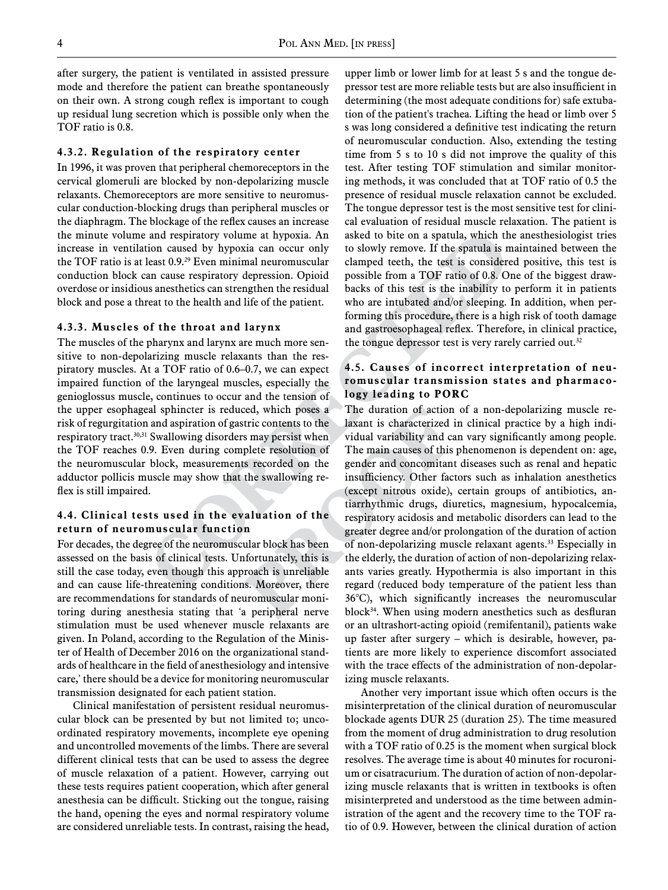after surgery, the patient is ventilated in assisted pressure mode and therefore the patient can breathe spontaneously on their own. A strong cough reflex is important to cough up residual lung secretion which is possible only when the TOF ratio is 0.8.

#### **4.3.2. Regulation of the respiratory center**

In 1996, it was proven that peripheral chemoreceptors in the cervical glomeruli are blocked by non-depolarizing muscle relaxants. Chemoreceptors are more sensitive to neuromuscular conduction-blocking drugs than peripheral muscles or the diaphragm. The blockage of the reflex causes an increase the minute volume and respiratory volume at hypoxia. An increase in ventilation caused by hypoxia can occur only the TOF ratio is at least 0.9.<sup>29</sup> Even minimal neuromuscular conduction block can cause respiratory depression. Opioid overdose or insidious anesthetics can strengthen the residual block and pose a threat to the health and life of the patient.

#### **4.3.3. Muscles of the throat and larynx**

The muscles of the pharynx and larynx are much more sensitive to non-depolarizing muscle relaxants than the respiratory muscles. At a TOF ratio of 0.6–0.7, we can expect impaired function of the laryngeal muscles, especially the genioglossus muscle, continues to occur and the tension of the upper esophageal sphincter is reduced, which poses a risk of regurgitation and aspiration of gastric contents to the respiratory tract.30,31 Swallowing disorders may persist when the TOF reaches 0.9. Even during complete resolution of the neuromuscular block, measurements recorded on the adductor pollicis muscle may show that the swallowing reflex is still impaired.

#### **4.4. Clinical tests used in the evaluation of the return of neuromuscular function**

For decades, the degree of the neuromuscular block has been assessed on the basis of clinical tests. Unfortunately, this is still the case today, even though this approach is unreliable and can cause life-threatening conditions. Moreover, there are recommendations for standards of neuromuscular monitoring during anesthesia stating that 'a peripheral nerve stimulation must be used whenever muscle relaxants are given. In Poland, according to the Regulation of the Minister of Health of December 2016 on the organizational standards of healthcare in the field of anesthesiology and intensive care,' there should be a device for monitoring neuromuscular transmission designated for each patient station.

Clinical manifestation of persistent residual neuromuscular block can be presented by but not limited to; uncoordinated respiratory movements, incomplete eye opening and uncontrolled movements of the limbs. There are several different clinical tests that can be used to assess the degree of muscle relaxation of a patient. However, carrying out these tests requires patient cooperation, which after general anesthesia can be difficult. Sticking out the tongue, raising the hand, opening the eyes and normal respiratory volume are considered unreliable tests. In contrast, raising the head, upper limb or lower limb for at least 5 s and the tongue depressor test are more reliable tests but are also insufficient in determining (the most adequate conditions for) safe extubation of the patient's trachea. Lifting the head or limb over 5 s was long considered a definitive test indicating the return of neuromuscular conduction. Also, extending the testing time from 5 s to 10 s did not improve the quality of this test. After testing TOF stimulation and similar monitoring methods, it was concluded that at TOF ratio of 0.5 the presence of residual muscle relaxation cannot be excluded. The tongue depressor test is the most sensitive test for clinical evaluation of residual muscle relaxation. The patient is asked to bite on a spatula, which the anesthesiologist tries to slowly remove. If the spatula is maintained between the clamped teeth, the test is considered positive, this test is possible from a TOF ratio of 0.8. One of the biggest drawbacks of this test is the inability to perform it in patients who are intubated and/or sleeping. In addition, when performing this procedure, there is a high risk of tooth damage and gastroesophageal reflex. Therefore, in clinical practice, the tongue depressor test is very rarely carried out.<sup>32</sup>

#### **4.5. Causes of incorrect interpretation of neuromuscular transmission states and pharmacology leading to PORC**

The duration of action of a non-depolarizing muscle relaxant is characterized in clinical practice by a high individual variability and can vary significantly among people. The main causes of this phenomenon is dependent on: age, gender and concomitant diseases such as renal and hepatic insufficiency. Other factors such as inhalation anesthetics (except nitrous oxide), certain groups of antibiotics, antiarrhythmic drugs, diuretics, magnesium, hypocalcemia, respiratory acidosis and metabolic disorders can lead to the greater degree and/or prolongation of the duration of action of non-depolarizing muscle relaxant agents.<sup>33</sup> Especially in the elderly, the duration of action of non-depolarizing relaxants varies greatly. Hypothermia is also important in this regard (reduced body temperature of the patient less than 36°C), which significantly increases the neuromuscular block<sup>34</sup>. When using modern anesthetics such as desfluran or an ultrashort-acting opioid (remifentanil), patients wake up faster after surgery – which is desirable, however, patients are more likely to experience discomfort associated with the trace effects of the administration of non-depolarizing muscle relaxants.

Another very important issue which often occurs is the misinterpretation of the clinical duration of neuromuscular blockade agents DUR 25 (duration 25). The time measured from the moment of drug administration to drug resolution with a TOF ratio of 0.25 is the moment when surgical block resolves. The average time is about 40 minutes for rocuronium or cisatracurium. The duration of action of non-depolarizing muscle relaxants that is written in textbooks is often misinterpreted and understood as the time between administration of the agent and the recovery time to the TOF ratio of 0.9. However, between the clinical duration of action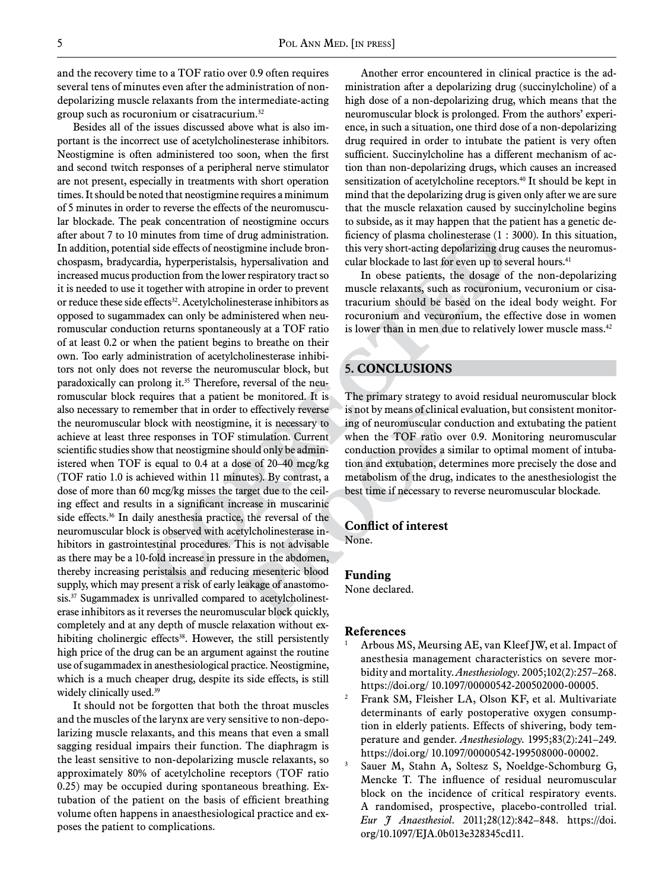and the recovery time to a TOF ratio over 0.9 often requires several tens of minutes even after the administration of nondepolarizing muscle relaxants from the intermediate-acting group such as rocuronium or cisatracurium.32

Besides all of the issues discussed above what is also important is the incorrect use of acetylcholinesterase inhibitors. Neostigmine is often administered too soon, when the first and second twitch responses of a peripheral nerve stimulator are not present, especially in treatments with short operation times. It should be noted that neostigmine requires a minimum of 5 minutes in order to reverse the effects of the neuromuscular blockade. The peak concentration of neostigmine occurs after about 7 to 10 minutes from time of drug administration. In addition, potential side effects of neostigmine include bronchospasm, bradycardia, hyperperistalsis, hypersalivation and increased mucus production from the lower respiratory tract so it is needed to use it together with atropine in order to prevent or reduce these side effects<sup>32</sup>. Acetylcholinesterase inhibitors as opposed to sugammadex can only be administered when neuromuscular conduction returns spontaneously at a TOF ratio of at least 0.2 or when the patient begins to breathe on their own. Too early administration of acetylcholinesterase inhibitors not only does not reverse the neuromuscular block, but paradoxically can prolong it.<sup>35</sup> Therefore, reversal of the neuromuscular block requires that a patient be monitored. It is also necessary to remember that in order to effectively reverse the neuromuscular block with neostigmine, it is necessary to achieve at least three responses in TOF stimulation. Current scientific studies show that neostigmine should only be administered when TOF is equal to 0.4 at a dose of 20–40 mcg/kg (TOF ratio 1.0 is achieved within 11 minutes). By contrast, a dose of more than 60 mcg/kg misses the target due to the ceiling effect and results in a significant increase in muscarinic side effects.<sup>36</sup> In daily anesthesia practice, the reversal of the neuromuscular block is observed with acetylcholinesterase inhibitors in gastrointestinal procedures. This is not advisable as there may be a 10-fold increase in pressure in the abdomen, thereby increasing peristalsis and reducing mesenteric blood supply, which may present a risk of early leakage of anastomosis.<sup>37</sup> Sugammadex is unrivalled compared to acetylcholinesterase inhibitors as it reverses the neuromuscular block quickly, completely and at any depth of muscle relaxation without exhibiting cholinergic effects<sup>38</sup>. However, the still persistently high price of the drug can be an argument against the routine use of sugammadex in anesthesiological practice. Neostigmine, which is a much cheaper drug, despite its side effects, is still widely clinically used.<sup>39</sup>

It should not be forgotten that both the throat muscles and the muscles of the larynx are very sensitive to non-depolarizing muscle relaxants, and this means that even a small sagging residual impairs their function. The diaphragm is the least sensitive to non-depolarizing muscle relaxants, so approximately 80% of acetylcholine receptors (TOF ratio 0.25) may be occupied during spontaneous breathing. Extubation of the patient on the basis of efficient breathing volume often happens in anaesthesiological practice and exposes the patient to complications.

Another error encountered in clinical practice is the administration after a depolarizing drug (succinylcholine) of a high dose of a non-depolarizing drug, which means that the neuromuscular block is prolonged. From the authors' experience, in such a situation, one third dose of a non-depolarizing drug required in order to intubate the patient is very often sufficient. Succinylcholine has a different mechanism of action than non-depolarizing drugs, which causes an increased sensitization of acetylcholine receptors.<sup>40</sup> It should be kept in mind that the depolarizing drug is given only after we are sure that the muscle relaxation caused by succinylcholine begins to subside, as it may happen that the patient has a genetic deficiency of plasma cholinesterase (1 : 3000). In this situation, this very short-acting depolarizing drug causes the neuromuscular blockade to last for even up to several hours.<sup>41</sup>

In obese patients, the dosage of the non-depolarizing muscle relaxants, such as rocuronium, vecuronium or cisatracurium should be based on the ideal body weight. For rocuronium and vecuronium, the effective dose in women is lower than in men due to relatively lower muscle mass.<sup>42</sup>

# **5. Conclusions**

The primary strategy to avoid residual neuromuscular block is not by means of clinical evaluation, but consistent monitoring of neuromuscular conduction and extubating the patient when the TOF ratio over 0.9. Monitoring neuromuscular conduction provides a similar to optimal moment of intubation and extubation, determines more precisely the dose and metabolism of the drug, indicates to the anesthesiologist the best time if necessary to reverse neuromuscular blockade.

#### **Conflict of interest**

None.

#### **Funding**

None declared.

#### **References**

- Arbous MS, Meursing AE, van Kleef JW, et al. Impact of anesthesia management characteristics on severe morbidity and mortality. *Anesthesiology*. 2005;102(2):257–268. https://doi.org/ 10.1097/00000542-200502000-00005.
- <sup>2</sup> Frank SM, Fleisher LA, Olson KF, et al. Multivariate determinants of early postoperative oxygen consumption in elderly patients. Effects of shivering, body temperature and gender. *Anesthesiology*. 1995;83(2):241–249. https://doi.org/ 10.1097/00000542-199508000-00002.
- <sup>3</sup> Sauer M, Stahn A, Soltesz S, Noeldge-Schomburg G, Mencke T. The influence of residual neuromuscular block on the incidence of critical respiratory events. A randomised, prospective, placebo-controlled trial. *Eur J Anaesthesiol*. 2011;28(12):842–848. https://doi. org/10.1097/EJA.0b013e328345cd11.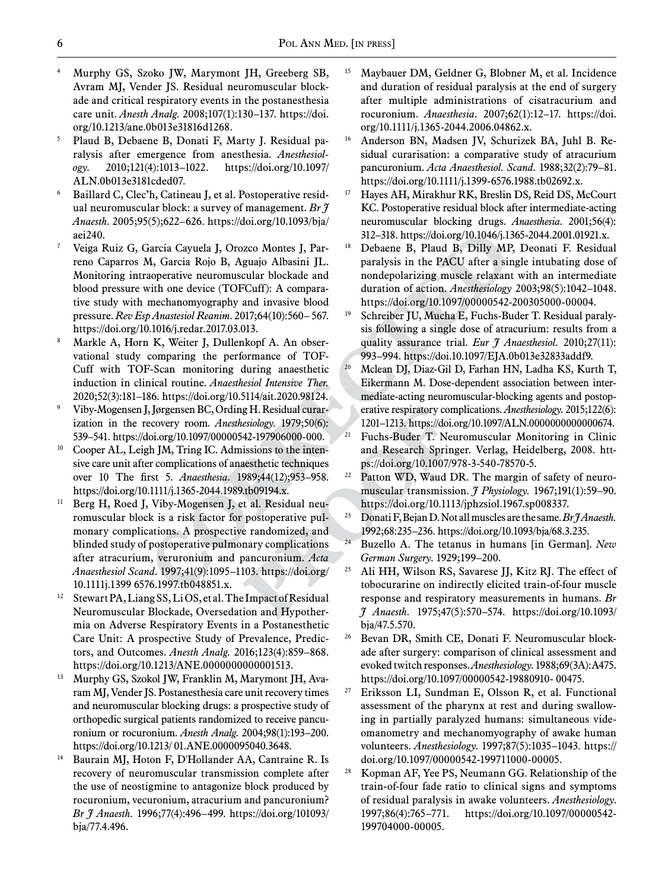- <sup>4</sup> Murphy GS, Szoko JW, Marymont JH, Greeberg SB, Avram MJ, Vender JS. Residual neuromuscular blockade and critical respiratory events in the postanesthesia care unit. *Anesth Analg.* 2008;107(1):130–137. https://doi. org/10.1213/ane.0b013e31816d1268.
- <sup>5</sup> Plaud B, Debaene B, Donati F, Marty J. Residual paralysis after emergence from anesthesia. *Anesthesiology*. 2010;121(4):1013–1022. https://doi.org/10.1097/ ALN.0b013e3181cded07.
- <sup>6</sup> Baillard C, Clec'h, Catineau J, et al. Postoperative residual neuromuscular block: a survey of management. *Br J Anaesth*. 2005;95(5);622–626. https://doi.org/10.1093/bja/ aei240.
- <sup>7</sup> Veiga Ruiz G, Garcia Cayuela J, Orozco Montes J, Parreno Caparros M, Garcia Rojo B, Aguajo Albasini JL. Monitoring intraoperative neuromuscular blockade and blood pressure with one device (TOFCuff): A comparative study with mechanomyography and invasive blood pressure. *Rev Esp Anastesiol Reanim*. 2017;64(10):560– 567. https://doi.org/10.1016/j.redar.2017.03.013.
- Markle A, Horn K, Weiter J, Dullenkopf A. An observational study comparing the performance of TOF-Cuff with TOF-Scan monitoring during anaesthetic induction in clinical routine. *Anaesthesiol Intensive Ther.* 2020;52(3):181–186. https://doi.org/10.5114/ait.2020.98124.
- <sup>9</sup> Viby-Mogensen J, Jørgensen BC, Ording H. Residual curarization in the recovery room. *Anesthesiology*. 1979;50(6): 539–541. https://doi.org/10.1097/00000542-197906000-000.
- <sup>10</sup> Cooper AL, Leigh JM, Tring IC. Admissions to the intensive care unit after complications of anaesthetic techniques over 10 The first 5. *Anaesthesia*. 1989;44(12);953–958. https://doi.org/10.1111/j.1365-2044.1989.tb09194.x.
- <sup>11</sup> Berg H, Roed J, Viby-Mogensen J, et al. Residual neuromuscular block is a risk factor for postoperative pulmonary complications. A prospective randomized, and blinded study of postoperative pulmonary complications after atracurium, veruronium and pancuronium. *Acta Anaesthesiol Scand*. 1997;41(9):1095–1103. https://doi.org/ 10.1111j.1399 6576.1997.tb048851.x.
- <sup>12</sup> Stewart PA, Liang SS, Li OS, et al. The Impact of Residual Neuromuscular Blockade, Oversedation and Hypothermia on Adverse Respiratory Events in a Postanesthetic Care Unit: A prospective Study of Prevalence, Predictors, and Outcomes. *Anesth Analg.* 2016;123(4):859–868. https://doi.org/10.1213/ANE.0000000000001513.
- <sup>13</sup> Murphy GS, Szokol JW, Franklin M, Marymont JH, Avaram MJ, Vender JS. Postanesthesia care unit recovery times and neuromuscular blocking drugs: a prospective study of orthopedic surgical patients randomized to receive pancuronium or rocuronium. *Anesth Analg*. 2004;98(1):193–200. https://doi.org/10.1213/ 01.ANE.0000095040.3648.
- <sup>14</sup> Baurain MJ, Hoton F, D'Hollander AA, Cantraine R. Is recovery of neuromuscular transmission complete after the use of neostigmine to antagonize block produced by rocuronium, vecuronium, atracurium and pancuronium? *Br J Anaesth.* 1996;77(4):496–499. https://doi.org/101093/ bja/77.4.496.
- <sup>15</sup> Maybauer DM, Geldner G, Blobner M, et al. Incidence and duration of residual paralysis at the end of surgery after multiple administrations of cisatracurium and rocuronium. *Anaesthesia*. 2007;62(1):12–17. https://doi. org/10.1111/j.1365-2044.2006.04862.x.
- <sup>16</sup> Anderson BN, Madsen JV, Schurizek BA, Juhl B. Residual curarisation: a comparative study of atracurium pancuronium. *Acta Anaesthesiol. Scand.* 1988;32(2):79–81. https://doi.org/10.1111/j.1399-6576.1988.tb02692.x.
- <sup>17</sup> Hayes AH, Mirakhur RK, Breslin DS, Reid DS, McCourt KC. Postoperative residual block after intermediate-acting neuromuscular blocking drugs. *Anaesthesia*. 2001;56(4): 312–318. https://doi.org/10.1046/j.1365-2044.2001.01921.x.
- <sup>18</sup> Debaene B, Plaud B, Dilly MP, Deonati F. Residual paralysis in the PACU after a single intubating dose of nondepolarizing muscle relaxant with an intermediate duration of action. *Anesthesiology* 2003;98(5):1042–1048. https://doi.org/10.1097/00000542-200305000-00004.
- <sup>19</sup> Schreiber JU, Mucha E, Fuchs-Buder T. Residual paralysis following a single dose of atracurium: results from a quality assurance trial. *Eur J Anaesthesiol.* 2010;27(11): 993–994. https://doi.10.1097/EJA.0b013e32833addf9.
- <sup>20</sup> Mclean DJ, Diaz-Gil D, Farhan HN, Ladha KS, Kurth T, Eikermann M. Dose-dependent association between intermediate-acting neuromuscular-blocking agents and postoperative respiratory complications. *Anesthesiology*. 2015;122(6): 1201–1213. https://doi.org/10.1097/ALN.0000000000000674.
- <sup>21</sup> Fuchs-Buder T. Neuromuscular Monitoring in Clinic and Research Springer. Verlag, Heidelberg, 2008. https://doi.org/10.1007/978-3-540-78570-5.
- $22$  Patton WD, Waud DR. The margin of safety of neuromuscular transmission. *J Physiology.* 1967;191(1):59–90. https://doi.org/10.1113/jphzsiol.1967.sp008337.
- <sup>23</sup> Donati F, Bejan D. Not all muscles are the same. *Br J Anaesth.* 1992;68:235–236. https://doi.org/10.1093/bja/68.3.235.
- <sup>24</sup> Buzello A. The tetanus in humans [in German]. *New German Surgery*. 1929;199–200.
- <sup>25</sup> Ali HH, Wilson RS, Savarese JJ, Kitz RJ. The effect of tobocurarine on indirectly elicited train-of-four muscle response and respiratory measurements in humans. *Br J Anaesth.* 1975;47(5):570–574. https://doi.org/10.1093/ bja/47.5.570.
- <sup>26</sup> Bevan DR, Smith CE, Donati F. Neuromuscular blockade after surgery: comparison of clinical assessment and evoked twitch responses. *Anesthesiology*. 1988;69(3A):A475. https://doi.org/10.1097/00000542-19880910- 00475.
- <sup>27</sup> Eriksson LI, Sundman E, Olsson R, et al. Functional assessment of the pharynx at rest and during swallowing in partially paralyzed humans: simultaneous videomanometry and mechanomyography of awake human volunteers. *Anesthesiology*. 1997;87(5):1035–1043. https:// doi.org/10.1097/00000542-199711000-00005.
- <sup>28</sup> Kopman AF, Yee PS, Neumann GG. Relationship of the train-of-four fade ratio to clinical signs and symptoms of residual paralysis in awake volunteers. *Anesthesiology*. 1997;86(4):765–771. https://doi.org/10.1097/00000542- 199704000-00005.